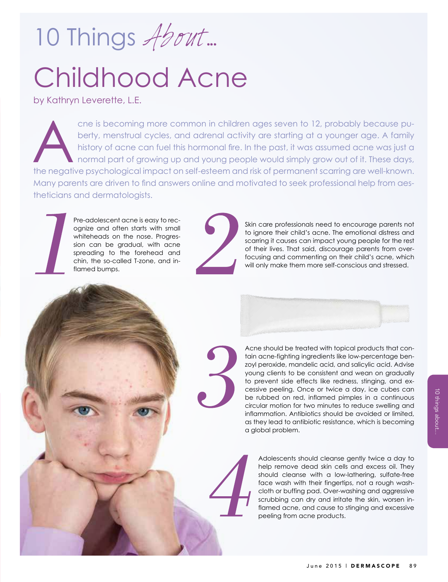10 Things About...

## Childhood Acne

by Kathryn Leverette, L.E.

The negative psychological impact on self-esteem and risk of permanent scarring are well-known.<br>
A the negative psychological impact on self-esteem and risk of permanent scarring are well-known. cne is becoming more common in children ages seven to 12, probably because puberty, menstrual cycles, and adrenal activity are starting at a younger age. A family history of acne can fuel this hormonal fire. In the past, it was assumed acne was just a normal part of growing up and young people would simply grow out of it. These days, Many parents are driven to find answers online and motivated to seek professional help from aestheticians and dermatologists.

> Pre-adolescent acne is easy to recognize and often starts with small whiteheads on the nose. Progression can be gradual, with acne spreading to the forehead and chin, the so-called T-zone, and inflamed bumps.



Skin care professionals need to encourage parents not to ignore their child's acne. The emotional distress and scarring it causes can impact young people for the rest of their lives. That said, discourage parents from overfocusing and commenting on their child's acne, which will only make them more self-conscious and stressed.



Acne should be treated with topical products that contain acne-fighting ingredients like low-percentage benzoyl peroxide, mandelic acid, and salicylic acid. Advise young clients to be consistent and wean on gradually to prevent side effects like redness, stinging, and excessive peeling. Once or twice a day, ice cubes can be rubbed on red, inflamed pimples in a continuous circular motion for two minutes to reduce swelling and inflammation. Antibiotics should be avoided or limited, as they lead to antibiotic resistance, which is becoming a global problem.

Adolescents should cleanse gently twice a day to help remove dead skin cells and excess oil. They should cleanse with a low-lathering, sulfate-free face wash with their fingertips, not a rough washcloth or buffing pad. Over-washing and aggressive scrubbing can dry and irritate the skin, worsen inflamed acne, and cause to stinging and excessive peeling from acne products.